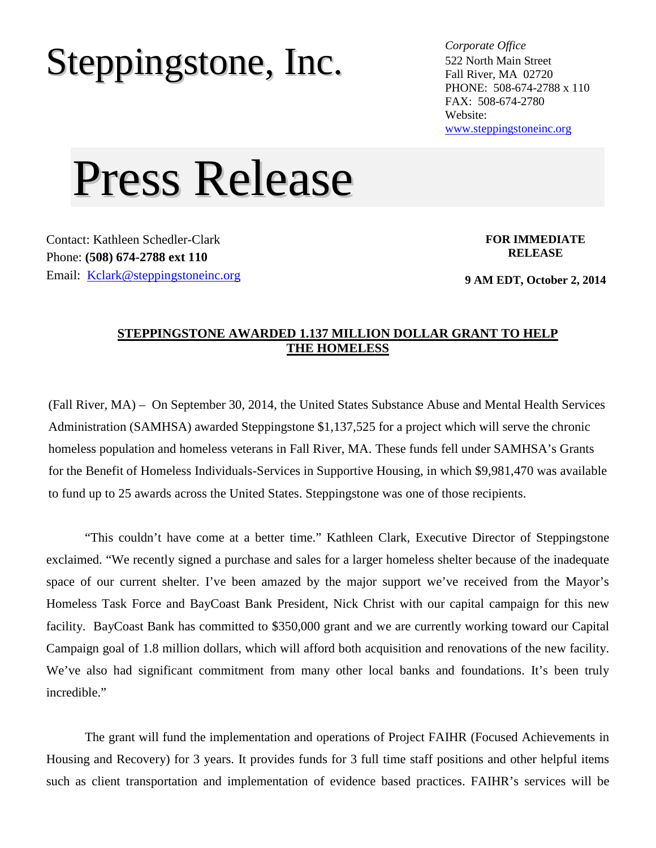## Steppingstone, Inc. *Corporate Office*

522 North Main Street Fall River, MA 02720 PHONE: 508-674-2788 x 110 FAX: 508-674-2780 Website: [www.steppingstoneinc.org](http://www.steppingstoneinc.org/)

## Press Release

Contact: Kathleen Schedler-Clark Phone: **(508) 674-2788 ext 110** Email: [Kclark@steppingstoneinc.org](mailto:Kclark@steppingstoneinc.org) **FOR IMMEDIATE RELEASE**

**9 AM EDT, October 2, 2014**

## **STEPPINGSTONE AWARDED 1.137 MILLION DOLLAR GRANT TO HELP THE HOMELESS**

(Fall River, MA) – On September 30, 2014, the United States Substance Abuse and Mental Health Services Administration (SAMHSA) awarded Steppingstone \$1,137,525 for a project which will serve the chronic homeless population and homeless veterans in Fall River, MA. These funds fell under SAMHSA's Grants for the Benefit of Homeless Individuals-Services in Supportive Housing, in which \$9,981,470 was available to fund up to 25 awards across the United States. Steppingstone was one of those recipients.

"This couldn't have come at a better time." Kathleen Clark, Executive Director of Steppingstone exclaimed. "We recently signed a purchase and sales for a larger homeless shelter because of the inadequate space of our current shelter. I've been amazed by the major support we've received from the Mayor's Homeless Task Force and BayCoast Bank President, Nick Christ with our capital campaign for this new facility. BayCoast Bank has committed to \$350,000 grant and we are currently working toward our Capital Campaign goal of 1.8 million dollars, which will afford both acquisition and renovations of the new facility. We've also had significant commitment from many other local banks and foundations. It's been truly incredible."

The grant will fund the implementation and operations of Project FAIHR (Focused Achievements in Housing and Recovery) for 3 years. It provides funds for 3 full time staff positions and other helpful items such as client transportation and implementation of evidence based practices. FAIHR's services will be